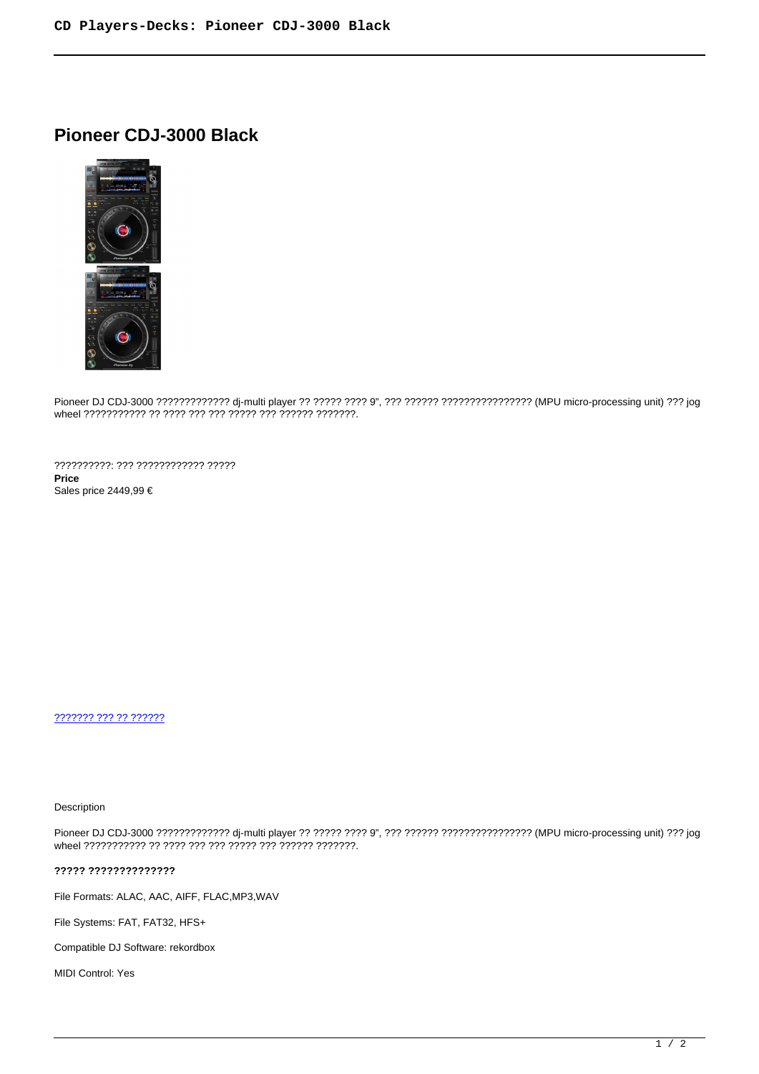# **Pioneer CDJ-3000 Black**



Pioneer DJ CDJ-3000 ????????????? dj-multi player ?? ????? ???? 9", ??? ?????? ???????????????? (MPU micro-processing unit) ??? jog wheel ??????????? ?? ???? ??? ??? ????? ??? ?????? ???????.

??????????: ??? ???????????? ????? **Price**  Sales price 2449,99 €

[??????? ??? ?? ??????](https://audiohouse.gr/index.php?option=com_virtuemart&view=productdetails&task=askquestion&virtuemart_product_id=1842&virtuemart_category_id=10&tmpl=component)

Description

Pioneer DJ CDJ-3000 ????????????? dj-multi player ?? ????? ???? 9", ??? ?????? ???????????????? (MPU micro-processing unit) ??? jog wheel ??????????? ?? ???? ??? ??? ????? ??? ?????? ???????.

**????? ??????????????**

File Formats: ALAC, AAC, AIFF, FLAC,MP3,WAV

File Systems: FAT, FAT32, HFS+

Compatible DJ Software: rekordbox

MIDI Control: Yes